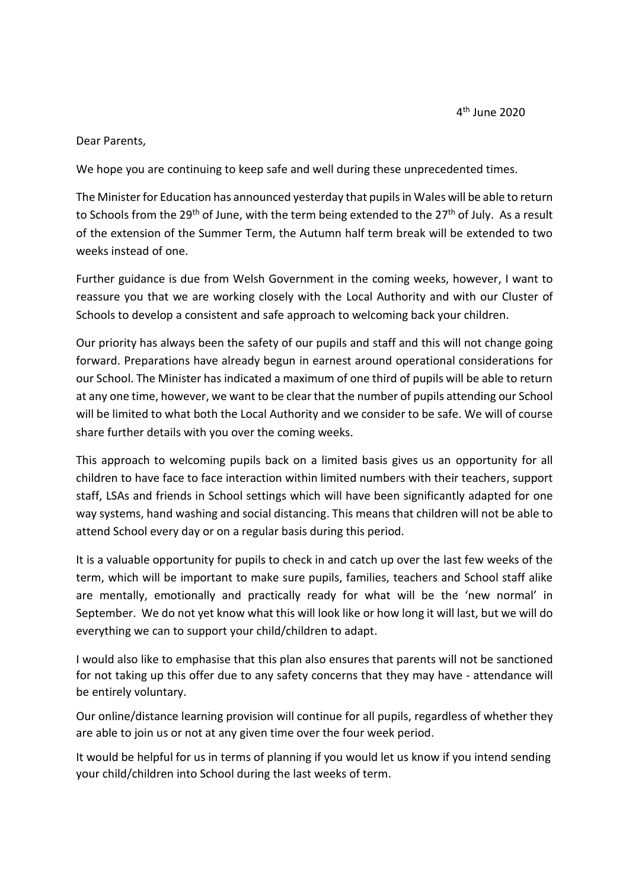## Dear Parents,

We hope you are continuing to keep safe and well during these unprecedented times.

The Minister for Education has announced yesterday that pupils in Wales will be able to return to Schools from the 29<sup>th</sup> of June, with the term being extended to the 27<sup>th</sup> of July. As a result of the extension of the Summer Term, the Autumn half term break will be extended to two weeks instead of one.

Further guidance is due from Welsh Government in the coming weeks, however, I want to reassure you that we are working closely with the Local Authority and with our Cluster of Schools to develop a consistent and safe approach to welcoming back your children.

Our priority has always been the safety of our pupils and staff and this will not change going forward. Preparations have already begun in earnest around operational considerations for our School. The Minister has indicated a maximum of one third of pupils will be able to return at any one time, however, we want to be clear that the number of pupils attending our School will be limited to what both the Local Authority and we consider to be safe. We will of course share further details with you over the coming weeks.

This approach to welcoming pupils back on a limited basis gives us an opportunity for all children to have face to face interaction within limited numbers with their teachers, support staff, LSAs and friends in School settings which will have been significantly adapted for one way systems, hand washing and social distancing. This means that children will not be able to attend School every day or on a regular basis during this period.

It is a valuable opportunity for pupils to check in and catch up over the last few weeks of the term, which will be important to make sure pupils, families, teachers and School staff alike are mentally, emotionally and practically ready for what will be the 'new normal' in September. We do not yet know what this will look like or how long it will last, but we will do everything we can to support your child/children to adapt.

I would also like to emphasise that this plan also ensures that parents will not be sanctioned for not taking up this offer due to any safety concerns that they may have - attendance will be entirely voluntary.

Our online/distance learning provision will continue for all pupils, regardless of whether they are able to join us or not at any given time over the four week period.

It would be helpful for us in terms of planning if you would let us know if you intend sending your child/children into School during the last weeks of term.